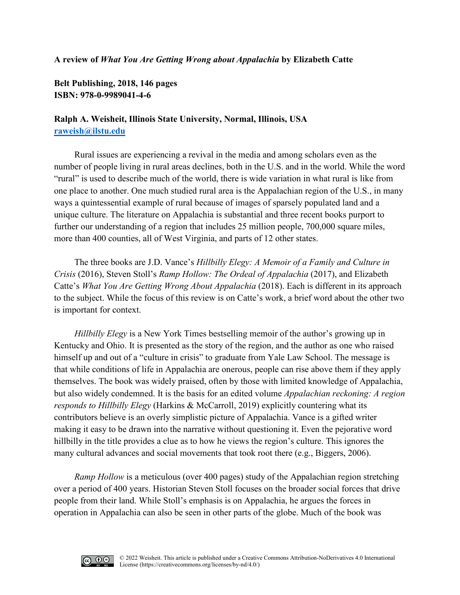## **A review of** *What You Are Getting Wrong about Appalachia* **by Elizabeth Catte**

**Belt Publishing, 2018, 146 pages ISBN: 978-0-9989041-4-6**

## **Ralph A. Weisheit, Illinois State University, Normal, Illinois, USA [raweish@ilstu.edu](mailto:raweish@ilstu.edu)**

Rural issues are experiencing a revival in the media and among scholars even as the number of people living in rural areas declines, both in the U.S. and in the world. While the word "rural" is used to describe much of the world, there is wide variation in what rural is like from one place to another. One much studied rural area is the Appalachian region of the U.S., in many ways a quintessential example of rural because of images of sparsely populated land and a unique culture. The literature on Appalachia is substantial and three recent books purport to further our understanding of a region that includes 25 million people, 700,000 square miles, more than 400 counties, all of West Virginia, and parts of 12 other states.

The three books are J.D. Vance's *Hillbilly Elegy: A Memoir of a Family and Culture in Crisis* (2016), Steven Stoll's *Ramp Hollow: The Ordeal of Appalachia* (2017), and Elizabeth Catte's *What You Are Getting Wrong About Appalachia* (2018). Each is different in its approach to the subject. While the focus of this review is on Catte's work, a brief word about the other two is important for context.

*Hillbilly Elegy* is a New York Times bestselling memoir of the author's growing up in Kentucky and Ohio. It is presented as the story of the region, and the author as one who raised himself up and out of a "culture in crisis" to graduate from Yale Law School. The message is that while conditions of life in Appalachia are onerous, people can rise above them if they apply themselves. The book was widely praised, often by those with limited knowledge of Appalachia, but also widely condemned. It is the basis for an edited volume *Appalachian reckoning: A region responds to Hillbilly Elegy* (Harkins & McCarroll, 2019) explicitly countering what its contributors believe is an overly simplistic picture of Appalachia. Vance is a gifted writer making it easy to be drawn into the narrative without questioning it. Even the pejorative word hillbilly in the title provides a clue as to how he views the region's culture. This ignores the many cultural advances and social movements that took root there (e.g., Biggers, 2006).

*Ramp Hollow* is a meticulous (over 400 pages) study of the Appalachian region stretching over a period of 400 years. Historian Steven Stoll focuses on the broader social forces that drive people from their land. While Stoll's emphasis is on Appalachia, he argues the forces in operation in Appalachia can also be seen in other parts of the globe. Much of the book was

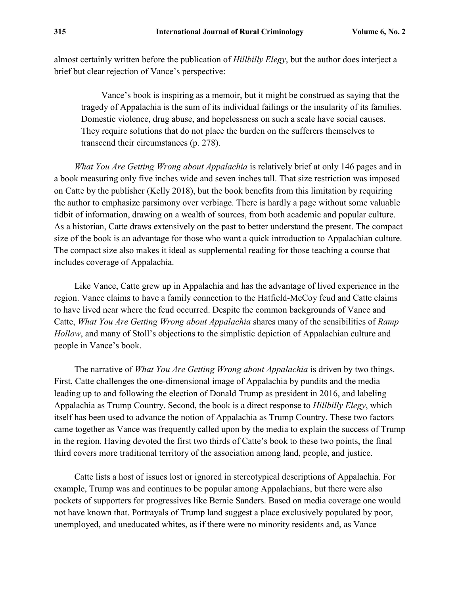almost certainly written before the publication of *Hillbilly Elegy*, but the author does interject a brief but clear rejection of Vance's perspective:

Vance's book is inspiring as a memoir, but it might be construed as saying that the tragedy of Appalachia is the sum of its individual failings or the insularity of its families. Domestic violence, drug abuse, and hopelessness on such a scale have social causes. They require solutions that do not place the burden on the sufferers themselves to transcend their circumstances (p. 278).

*What You Are Getting Wrong about Appalachia* is relatively brief at only 146 pages and in a book measuring only five inches wide and seven inches tall. That size restriction was imposed on Catte by the publisher (Kelly 2018), but the book benefits from this limitation by requiring the author to emphasize parsimony over verbiage. There is hardly a page without some valuable tidbit of information, drawing on a wealth of sources, from both academic and popular culture. As a historian, Catte draws extensively on the past to better understand the present. The compact size of the book is an advantage for those who want a quick introduction to Appalachian culture. The compact size also makes it ideal as supplemental reading for those teaching a course that includes coverage of Appalachia.

Like Vance, Catte grew up in Appalachia and has the advantage of lived experience in the region. Vance claims to have a family connection to the Hatfield-McCoy feud and Catte claims to have lived near where the feud occurred. Despite the common backgrounds of Vance and Catte, *What You Are Getting Wrong about Appalachia* shares many of the sensibilities of *Ramp Hollow*, and many of Stoll's objections to the simplistic depiction of Appalachian culture and people in Vance's book.

The narrative of *What You Are Getting Wrong about Appalachia* is driven by two things. First, Catte challenges the one-dimensional image of Appalachia by pundits and the media leading up to and following the election of Donald Trump as president in 2016, and labeling Appalachia as Trump Country. Second, the book is a direct response to *Hillbilly Elegy*, which itself has been used to advance the notion of Appalachia as Trump Country. These two factors came together as Vance was frequently called upon by the media to explain the success of Trump in the region. Having devoted the first two thirds of Catte's book to these two points, the final third covers more traditional territory of the association among land, people, and justice.

Catte lists a host of issues lost or ignored in stereotypical descriptions of Appalachia. For example, Trump was and continues to be popular among Appalachians, but there were also pockets of supporters for progressives like Bernie Sanders. Based on media coverage one would not have known that. Portrayals of Trump land suggest a place exclusively populated by poor, unemployed, and uneducated whites, as if there were no minority residents and, as Vance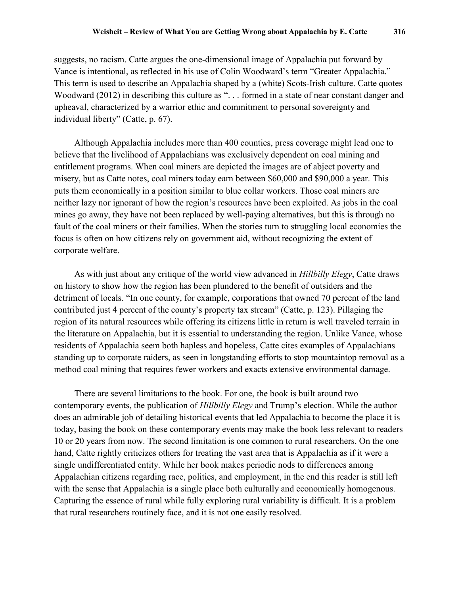suggests, no racism. Catte argues the one-dimensional image of Appalachia put forward by Vance is intentional, as reflected in his use of Colin Woodward's term "Greater Appalachia." This term is used to describe an Appalachia shaped by a (white) Scots-Irish culture. Catte quotes Woodward (2012) in describing this culture as "... formed in a state of near constant danger and upheaval, characterized by a warrior ethic and commitment to personal sovereignty and individual liberty" (Catte, p. 67).

Although Appalachia includes more than 400 counties, press coverage might lead one to believe that the livelihood of Appalachians was exclusively dependent on coal mining and entitlement programs. When coal miners are depicted the images are of abject poverty and misery, but as Catte notes, coal miners today earn between \$60,000 and \$90,000 a year. This puts them economically in a position similar to blue collar workers. Those coal miners are neither lazy nor ignorant of how the region's resources have been exploited. As jobs in the coal mines go away, they have not been replaced by well-paying alternatives, but this is through no fault of the coal miners or their families. When the stories turn to struggling local economies the focus is often on how citizens rely on government aid, without recognizing the extent of corporate welfare.

As with just about any critique of the world view advanced in *Hillbilly Elegy*, Catte draws on history to show how the region has been plundered to the benefit of outsiders and the detriment of locals. "In one county, for example, corporations that owned 70 percent of the land contributed just 4 percent of the county's property tax stream" (Catte, p. 123). Pillaging the region of its natural resources while offering its citizens little in return is well traveled terrain in the literature on Appalachia, but it is essential to understanding the region. Unlike Vance, whose residents of Appalachia seem both hapless and hopeless, Catte cites examples of Appalachians standing up to corporate raiders, as seen in longstanding efforts to stop mountaintop removal as a method coal mining that requires fewer workers and exacts extensive environmental damage.

There are several limitations to the book. For one, the book is built around two contemporary events, the publication of *Hillbilly Elegy* and Trump's election. While the author does an admirable job of detailing historical events that led Appalachia to become the place it is today, basing the book on these contemporary events may make the book less relevant to readers 10 or 20 years from now. The second limitation is one common to rural researchers. On the one hand, Catte rightly criticizes others for treating the vast area that is Appalachia as if it were a single undifferentiated entity. While her book makes periodic nods to differences among Appalachian citizens regarding race, politics, and employment, in the end this reader is still left with the sense that Appalachia is a single place both culturally and economically homogenous. Capturing the essence of rural while fully exploring rural variability is difficult. It is a problem that rural researchers routinely face, and it is not one easily resolved.